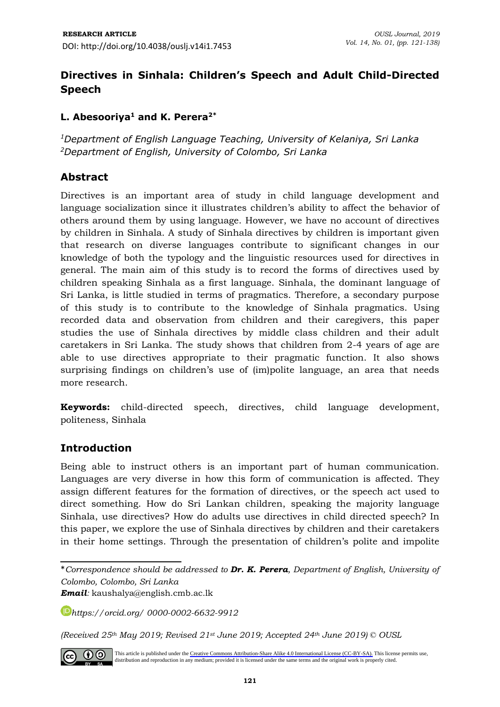# **Directives in Sinhala: Children's Speech and Adult Child-Directed Speech**

### **L. Abesooriya<sup>1</sup> and K. Perera2\***

*<sup>1</sup>Department of English Language Teaching, University of Kelaniya, Sri Lanka <sup>2</sup>Department of English, University of Colombo, Sri Lanka*

### **Abstract**

Directives is an important area of study in child language development and language socialization since it illustrates children's ability to affect the behavior of others around them by using language. However, we have no account of directives by children in Sinhala. A study of Sinhala directives by children is important given that research on diverse languages contribute to significant changes in our knowledge of both the typology and the linguistic resources used for directives in general. The main aim of this study is to record the forms of directives used by children speaking Sinhala as a first language. Sinhala, the dominant language of Sri Lanka, is little studied in terms of pragmatics. Therefore, a secondary purpose of this study is to contribute to the knowledge of Sinhala pragmatics. Using recorded data and observation from children and their caregivers, this paper studies the use of Sinhala directives by middle class children and their adult caretakers in Sri Lanka. The study shows that children from 2-4 years of age are able to use directives appropriate to their pragmatic function. It also shows surprising findings on children's use of (im)polite language, an area that needs more research.

**Keywords:** child-directed speech, directives, child language development, politeness, Sinhala

# **Introduction**

Being able to instruct others is an important part of human communication. Languages are very diverse in how this form of communication is affected. They assign different features for the formation of directives, or the speech act used to direct something. How do Sri Lankan children, speaking the majority language Sinhala, use directives? How do adults use directives in child directed speech? In this paper, we explore the use of Sinhala directives by children and their caretakers in their home settings. Through the presentation of children's polite and impolite

*Email:* [kaushalya@english.cmb.ac.lk](mailto:kaushalya@english.cmb.ac.lk)

*<https://orcid.org/> 0000-0002-6632-9912*

*(Received 25th May 2019; Revised 21st June 2019; Accepted 24th June 2019) © OUSL*



This article is published under the [Creative Commons Attribution-Share Alike 4.0 International License \(CC-BY-SA\).](https://creativecommons.org/licenses/by-sa/4.0/) This license permits use, distribution and reproduction in any medium; provided it is licensed under the same terms and the original work is properly cited.

<sup>\*</sup>*Correspondence should be addressed to Dr. K. Perera, Department of English, University of Colombo, Colombo, Sri Lanka*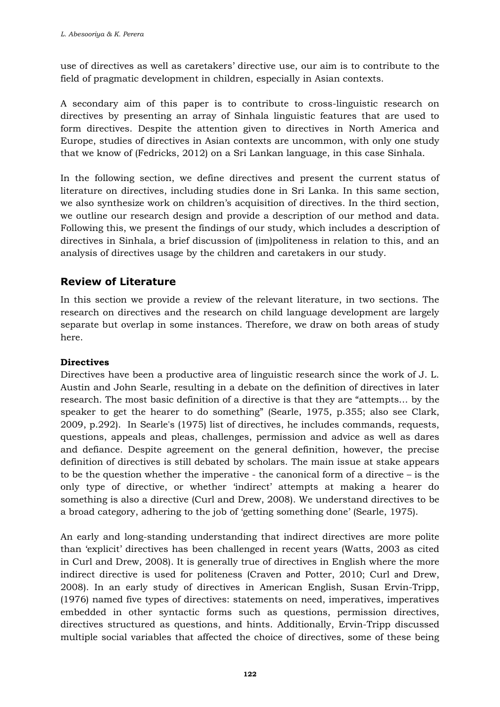use of directives as well as caretakers' directive use, our aim is to contribute to the field of pragmatic development in children, especially in Asian contexts.

A secondary aim of this paper is to contribute to cross-linguistic research on directives by presenting an array of Sinhala linguistic features that are used to form directives. Despite the attention given to directives in North America and Europe, studies of directives in Asian contexts are uncommon, with only one study that we know of (Fedricks, 2012) on a Sri Lankan language, in this case Sinhala.

In the following section, we define directives and present the current status of literature on directives, including studies done in Sri Lanka. In this same section, we also synthesize work on children's acquisition of directives. In the third section, we outline our research design and provide a description of our method and data. Following this, we present the findings of our study, which includes a description of directives in Sinhala, a brief discussion of (im)politeness in relation to this, and an analysis of directives usage by the children and caretakers in our study.

# **Review of Literature**

In this section we provide a review of the relevant literature, in two sections. The research on directives and the research on child language development are largely separate but overlap in some instances. Therefore, we draw on both areas of study here.

### **Directives**

Directives have been a productive area of linguistic research since the work of J. L. Austin and John Searle, resulting in a debate on the definition of directives in later research. The most basic definition of a directive is that they are "attempts… by the speaker to get the hearer to do something" (Searle, 1975, p.355; also see Clark, 2009, p.292). In Searle's (1975) list of directives, he includes commands, requests, questions, appeals and pleas, challenges, permission and advice as well as dares and defiance. Despite agreement on the general definition, however, the precise definition of directives is still debated by scholars. The main issue at stake appears to be the question whether the imperative - the canonical form of a directive – is the only type of directive, or whether 'indirect' attempts at making a hearer do something is also a directive (Curl and Drew, 2008). We understand directives to be a broad category, adhering to the job of 'getting something done' (Searle, 1975).

An early and long-standing understanding that indirect directives are more polite than 'explicit' directives has been challenged in recent years (Watts, 2003 as cited in Curl and Drew, 2008). It is generally true of directives in English where the more indirect directive is used for politeness (Craven and Potter, 2010; Curl and Drew, 2008). In an early study of directives in American English, Susan Ervin-Tripp, (1976) named five types of directives: statements on need, imperatives, imperatives embedded in other syntactic forms such as questions, permission directives, directives structured as questions, and hints. Additionally, Ervin-Tripp discussed multiple social variables that affected the choice of directives, some of these being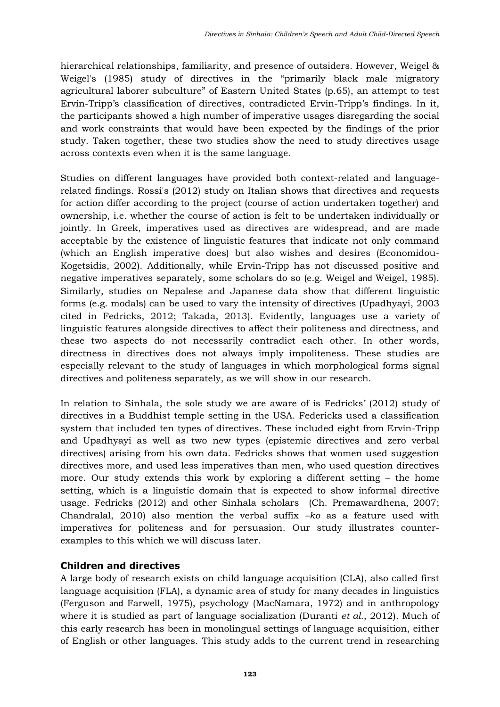hierarchical relationships, familiarity, and presence of outsiders. However, Weigel & Weigel's (1985) study of directives in the "primarily black male migratory agricultural laborer subculture" of Eastern United States (p.65), an attempt to test Ervin-Tripp's classification of directives, contradicted Ervin-Tripp's findings. In it, the participants showed a high number of imperative usages disregarding the social and work constraints that would have been expected by the findings of the prior study. Taken together, these two studies show the need to study directives usage across contexts even when it is the same language.

Studies on different languages have provided both context-related and languagerelated findings. Rossi's (2012) study on Italian shows that directives and requests for action differ according to the project (course of action undertaken together) and ownership, i.e. whether the course of action is felt to be undertaken individually or jointly. In Greek, imperatives used as directives are widespread, and are made acceptable by the existence of linguistic features that indicate not only command (which an English imperative does) but also wishes and desires (Economidou-Kogetsidis, 2002). Additionally, while Ervin-Tripp has not discussed positive and negative imperatives separately, some scholars do so (e.g. Weigel and Weigel, 1985). Similarly, studies on Nepalese and Japanese data show that different linguistic forms (e.g. modals) can be used to vary the intensity of directives (Upadhyayi, 2003 cited in Fedricks, 2012; Takada, 2013). Evidently, languages use a variety of linguistic features alongside directives to affect their politeness and directness, and these two aspects do not necessarily contradict each other. In other words, directness in directives does not always imply impoliteness. These studies are especially relevant to the study of languages in which morphological forms signal directives and politeness separately, as we will show in our research.

In relation to Sinhala, the sole study we are aware of is Fedricks' (2012) study of directives in a Buddhist temple setting in the USA. Federicks used a classification system that included ten types of directives. These included eight from Ervin-Tripp and Upadhyayi as well as two new types (epistemic directives and zero verbal directives) arising from his own data. Fedricks shows that women used suggestion directives more, and used less imperatives than men, who used question directives more. Our study extends this work by exploring a different setting – the home setting, which is a linguistic domain that is expected to show informal directive usage. Fedricks (2012) and other Sinhala scholars (Ch. Premawardhena, 2007; Chandralal, 2010) also mention the verbal suffix *–ko* as a feature used with imperatives for politeness and for persuasion. Our study illustrates counterexamples to this which we will discuss later.

### **Children and directives**

A large body of research exists on child language acquisition (CLA), also called first language acquisition (FLA), a dynamic area of study for many decades in linguistics (Ferguson and Farwell, 1975), psychology (MacNamara, 1972) and in anthropology where it is studied as part of language socialization (Duranti *et al.*, 2012). Much of this early research has been in monolingual settings of language acquisition, either of English or other languages. This study adds to the current trend in researching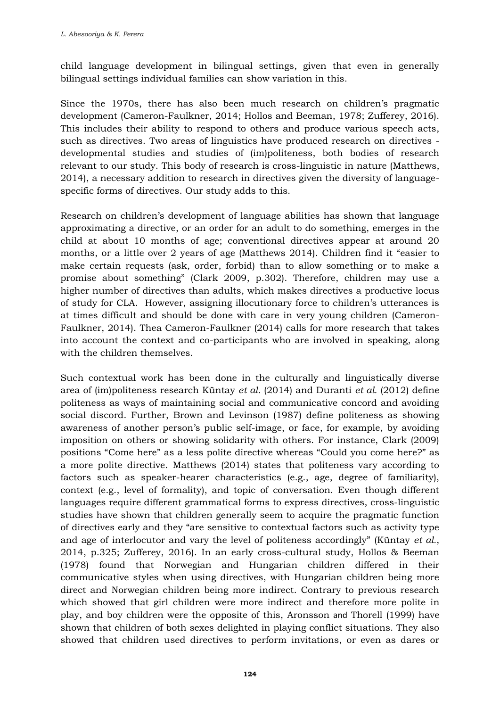child language development in bilingual settings, given that even in generally bilingual settings individual families can show variation in this.

Since the 1970s, there has also been much research on children's pragmatic development (Cameron-Faulkner, 2014; Hollos and Beeman, 1978; Zufferey, 2016). This includes their ability to respond to others and produce various speech acts, such as directives. Two areas of linguistics have produced research on directives developmental studies and studies of (im)politeness, both bodies of research relevant to our study. This body of research is cross-linguistic in nature (Matthews, 2014), a necessary addition to research in directives given the diversity of languagespecific forms of directives. Our study adds to this.

Research on children's development of language abilities has shown that language approximating a directive, or an order for an adult to do something, emerges in the child at about 10 months of age; conventional directives appear at around 20 months, or a little over 2 years of age (Matthews 2014). Children find it "easier to make certain requests (ask, order, forbid) than to allow something or to make a promise about something" (Clark 2009, p.302). Therefore, children may use a higher number of directives than adults, which makes directives a productive locus of study for CLA. However, assigning illocutionary force to children's utterances is at times difficult and should be done with care in very young children (Cameron-Faulkner, 2014). Thea Cameron-Faulkner (2014) calls for more research that takes into account the context and co-participants who are involved in speaking, along with the children themselves.

Such contextual work has been done in the culturally and linguistically diverse area of (im)politeness research Küntay *et al.* (2014) and Duranti *et al.* (2012) define politeness as ways of maintaining social and communicative concord and avoiding social discord. Further, Brown and Levinson (1987) define politeness as showing awareness of another person's public self-image, or face, for example, by avoiding imposition on others or showing solidarity with others. For instance, Clark (2009) positions "Come here" as a less polite directive whereas "Could you come here?" as a more polite directive. Matthews (2014) states that politeness vary according to factors such as speaker-hearer characteristics (e.g., age, degree of familiarity), context (e.g., level of formality), and topic of conversation. Even though different languages require different grammatical forms to express directives, cross-linguistic studies have shown that children generally seem to acquire the pragmatic function of directives early and they "are sensitive to contextual factors such as activity type and age of interlocutor and vary the level of politeness accordingly" (Küntay *et al.*, 2014, p.325; Zufferey, 2016). In an early cross-cultural study, Hollos & Beeman (1978) found that Norwegian and Hungarian children differed in their communicative styles when using directives, with Hungarian children being more direct and Norwegian children being more indirect. Contrary to previous research which showed that girl children were more indirect and therefore more polite in play, and boy children were the opposite of this, Aronsson and Thorell (1999) have shown that children of both sexes delighted in playing conflict situations. They also showed that children used directives to perform invitations, or even as dares or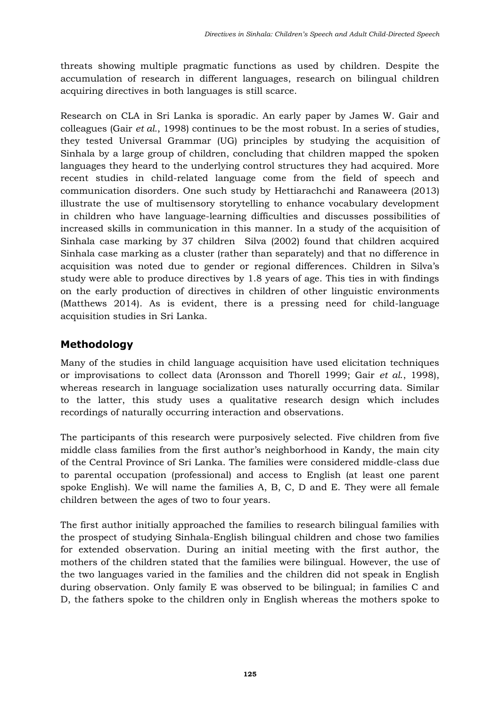threats showing multiple pragmatic functions as used by children. Despite the accumulation of research in different languages, research on bilingual children acquiring directives in both languages is still scarce.

Research on CLA in Sri Lanka is sporadic. An early paper by James W. Gair and colleagues (Gair *et al.*, 1998) continues to be the most robust. In a series of studies, they tested Universal Grammar (UG) principles by studying the acquisition of Sinhala by a large group of children, concluding that children mapped the spoken languages they heard to the underlying control structures they had acquired. More recent studies in child-related language come from the field of speech and communication disorders. One such study by Hettiarachchi and Ranaweera (2013) illustrate the use of multisensory storytelling to enhance vocabulary development in children who have language-learning difficulties and discusses possibilities of increased skills in communication in this manner. In a study of the acquisition of Sinhala case marking by 37 children Silva (2002) found that children acquired Sinhala case marking as a cluster (rather than separately) and that no difference in acquisition was noted due to gender or regional differences. Children in Silva's study were able to produce directives by 1.8 years of age. This ties in with findings on the early production of directives in children of other linguistic environments (Matthews 2014). As is evident, there is a pressing need for child-language acquisition studies in Sri Lanka.

# **Methodology**

Many of the studies in child language acquisition have used elicitation techniques or improvisations to collect data (Aronsson and Thorell 1999; Gair *et al*., 1998), whereas research in language socialization uses naturally occurring data. Similar to the latter, this study uses a qualitative research design which includes recordings of naturally occurring interaction and observations.

The participants of this research were purposively selected. Five children from five middle class families from the first author's neighborhood in Kandy, the main city of the Central Province of Sri Lanka. The families were considered middle-class due to parental occupation (professional) and access to English (at least one parent spoke English). We will name the families A, B, C, D and E. They were all female children between the ages of two to four years.

The first author initially approached the families to research bilingual families with the prospect of studying Sinhala-English bilingual children and chose two families for extended observation. During an initial meeting with the first author, the mothers of the children stated that the families were bilingual. However, the use of the two languages varied in the families and the children did not speak in English during observation. Only family E was observed to be bilingual; in families C and D, the fathers spoke to the children only in English whereas the mothers spoke to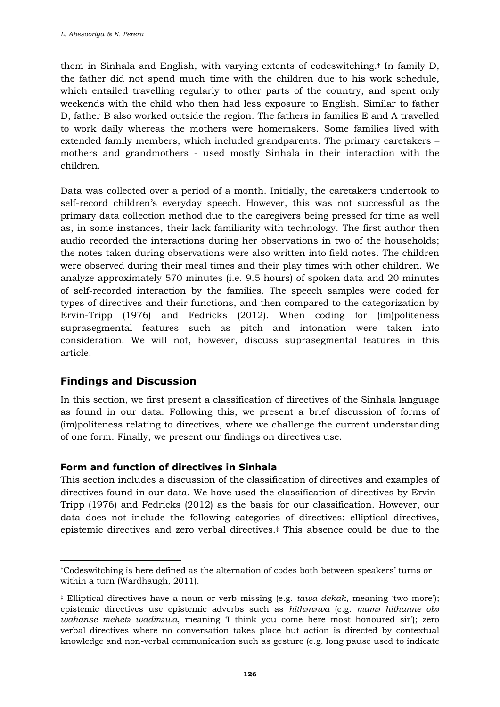them in Sinhala and English, with varying extents of codeswitching. † In family D, the father did not spend much time with the children due to his work schedule, which entailed travelling regularly to other parts of the country, and spent only weekends with the child who then had less exposure to English. Similar to father D, father B also worked outside the region. The fathers in families E and A travelled to work daily whereas the mothers were homemakers. Some families lived with extended family members, which included grandparents. The primary caretakers – mothers and grandmothers - used mostly Sinhala in their interaction with the children.

Data was collected over a period of a month. Initially, the caretakers undertook to self-record children's everyday speech. However, this was not successful as the primary data collection method due to the caregivers being pressed for time as well as, in some instances, their lack familiarity with technology. The first author then audio recorded the interactions during her observations in two of the households; the notes taken during observations were also written into field notes. The children were observed during their meal times and their play times with other children. We analyze approximately 570 minutes (i.e. 9.5 hours) of spoken data and 20 minutes of self-recorded interaction by the families. The speech samples were coded for types of directives and their functions, and then compared to the categorization by Ervin-Tripp (1976) and Fedricks (2012). When coding for (im)politeness suprasegmental features such as pitch and intonation were taken into consideration. We will not, however, discuss suprasegmental features in this article.

# **Findings and Discussion**

In this section, we first present a classification of directives of the Sinhala language as found in our data. Following this, we present a brief discussion of forms of (im)politeness relating to directives, where we challenge the current understanding of one form. Finally, we present our findings on directives use.

### **Form and function of directives in Sinhala**

This section includes a discussion of the classification of directives and examples of directives found in our data. We have used the classification of directives by Ervin-Tripp (1976) and Fedricks (2012) as the basis for our classification. However, our data does not include the following categories of directives: elliptical directives, epistemic directives and zero verbal directives.‡ This absence could be due to the

<sup>†</sup>Codeswitching is here defined as the alternation of codes both between speakers' turns or within a turn (Wardhaugh, 2011).

<sup>‡</sup> Elliptical directives have a noun or verb missing (e.g. *tawa dekak*, meaning 'two more'); epistemic directives use epistemic adverbs such as *hithənəwa* (e.g. *mamə hithanne obə wahanse mehetə wadinəwa*, meaning 'I think you come here most honoured sir'); zero verbal directives where no conversation takes place but action is directed by contextual knowledge and non-verbal communication such as gesture (e.g. long pause used to indicate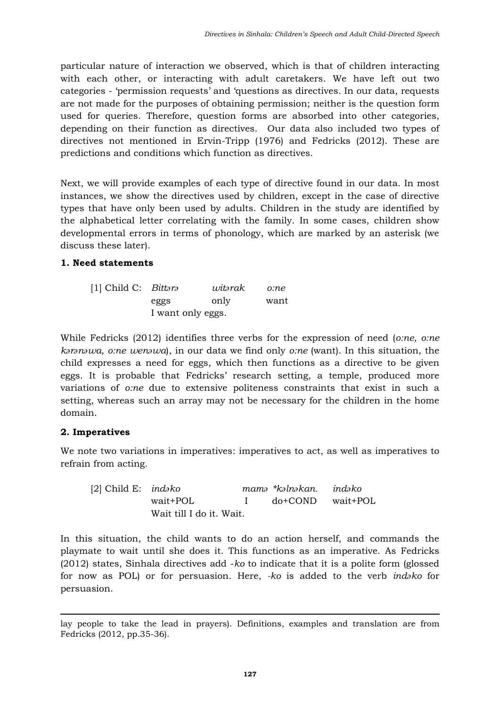particular nature of interaction we observed, which is that of children interacting with each other, or interacting with adult caretakers. We have left out two categories - 'permission requests' and 'questions as directives. In our data, requests are not made for the purposes of obtaining permission; neither is the question form used for queries. Therefore, question forms are absorbed into other categories, depending on their function as directives. Our data also included two types of directives not mentioned in Ervin-Tripp (1976) and Fedricks (2012). These are predictions and conditions which function as directives.

Next, we will provide examples of each type of directive found in our data. In most instances, we show the directives used by children, except in the case of directive types that have only been used by adults. Children in the study are identified by the alphabetical letter correlating with the family. In some cases, children show developmental errors in terms of phonology, which are marked by an asterisk (we discuss these later).

### **1. Need statements**

| [1] Child C: Bittara |                   | witərak | o:ne |
|----------------------|-------------------|---------|------|
|                      | eggs              | only    | want |
|                      | I want only eggs. |         |      |

While Fedricks (2012) identifies three verbs for the expression of need (*o:ne, o:ne kərənəwa, o:ne wenəwa*), in our data we find only *o:ne* (want). In this situation, the child expresses a need for eggs, which then functions as a directive to be given eggs. It is probable that Fedricks' research setting, a temple, produced more variations of *o:ne* due to extensive politeness constraints that exist in such a setting, whereas such an array may not be necessary for the children in the home domain.

### **2. Imperatives**

We note two variations in imperatives: imperatives to act, as well as imperatives to refrain from acting.

| [2] Child E: <i>indako</i> |                          | mamə *kəlnəkan. indəko |  |
|----------------------------|--------------------------|------------------------|--|
|                            | wait+POL                 | I do+COND wait+POL     |  |
|                            | Wait till I do it. Wait. |                        |  |

In this situation, the child wants to do an action herself, and commands the playmate to wait until she does it. This functions as an imperative. As Fedricks (2012) states, Sinhala directives add -*ko* to indicate that it is a polite form (glossed for now as POL) or for persuasion. Here, *-ko* is added to the verb *indəko* for persuasion.

lay people to take the lead in prayers). Definitions, examples and translation are from Fedricks (2012, pp.35-36).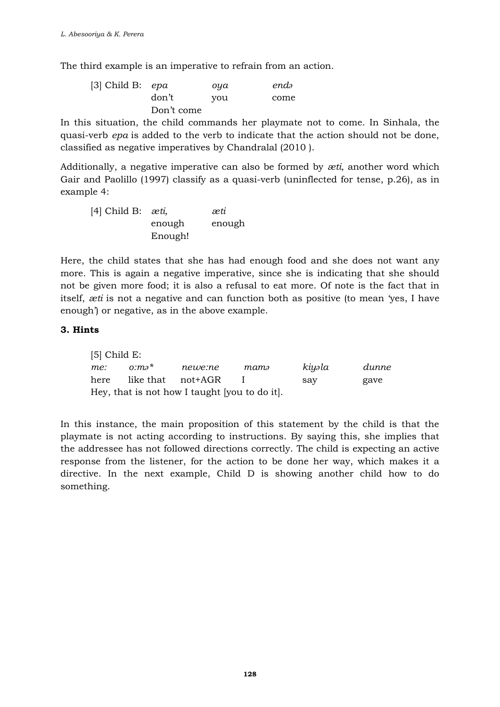The third example is an imperative to refrain from an action.

| [3] Child B: $epa$ |            | oya | endə |
|--------------------|------------|-----|------|
|                    | don't      | you | come |
|                    | Don't come |     |      |

In this situation, the child commands her playmate not to come. In Sinhala, the quasi-verb *epa* is added to the verb to indicate that the action should not be done, classified as negative imperatives by Chandralal (2010 ).

Additionally, a negative imperative can also be formed by *æti*, another word which Gair and Paolillo (1997) classify as a quasi-verb (uninflected for tense, p.26), as in example 4:

| [4] Child B: $æti$ , |         | æti    |
|----------------------|---------|--------|
|                      | enough  | enough |
|                      | Enough! |        |

Here, the child states that she has had enough food and she does not want any more. This is again a negative imperative, since she is indicating that she should not be given more food; it is also a refusal to eat more. Of note is the fact that in itself, *æti* is not a negative and can function both as positive (to mean 'yes, I have enough') or negative, as in the above example.

#### **3. Hints**

| $[5]$ Child E:                                |          |         |      |        |       |  |
|-----------------------------------------------|----------|---------|------|--------|-------|--|
| me:                                           | $0:ma^*$ | newe:ne | mamə | kiyəla | dunne |  |
| here                                          |          |         |      | sav    | gave  |  |
| Hey, that is not how I taught (you to do it). |          |         |      |        |       |  |

In this instance, the main proposition of this statement by the child is that the playmate is not acting according to instructions. By saying this, she implies that the addressee has not followed directions correctly. The child is expecting an active response from the listener, for the action to be done her way, which makes it a directive. In the next example, Child D is showing another child how to do something.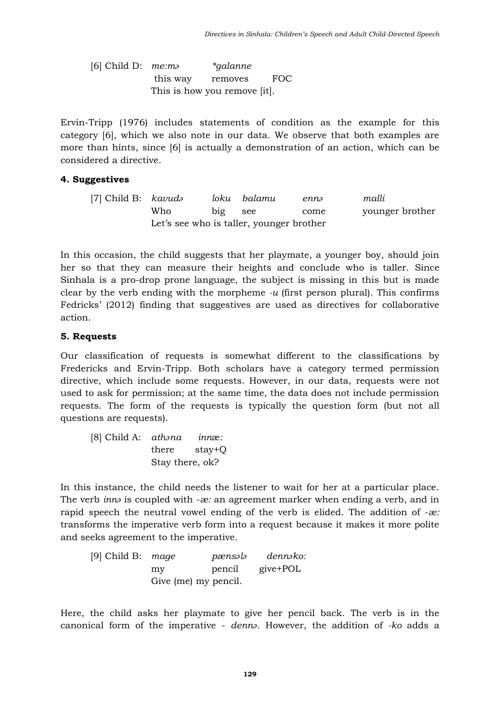[6] Child D: *me:mə \*galanne*  this way removes FOC This is how you remove [it].

Ervin-Tripp (1976) includes statements of condition as the example for this category [6], which we also note in our data. We observe that both examples are more than hints, since [6] is actually a demonstration of an action, which can be considered a directive.

#### **4. Suggestives**

[7] Child B: *kavudə loku balamu ennə malli*  Who big see come younger brother Let's see who is taller, younger brother

In this occasion, the child suggests that her playmate, a younger boy, should join her so that they can measure their heights and conclude who is taller. Since Sinhala is a pro-drop prone language, the subject is missing in this but is made clear by the verb ending with the morpheme *-u* (first person plural). This confirms Fedricks' (2012) finding that suggestives are used as directives for collaborative action.

#### **5. Requests**

Our classification of requests is somewhat different to the classifications by Fredericks and Ervin-Tripp. Both scholars have a category termed permission directive, which include some requests. However, in our data, requests were not used to ask for permission; at the same time, the data does not include permission requests. The form of the requests is typically the question form (but not all questions are requests).

| [8] Child A: athana |                 | <i>innæ:</i> |
|---------------------|-----------------|--------------|
|                     | there           | stay+Q       |
|                     | Stay there, ok? |              |

In this instance, the child needs the listener to wait for her at a particular place. The verb *innə* is coupled with -*æ:* an agreement marker when ending a verb, and in rapid speech the neutral vowel ending of the verb is elided. The addition of -*æ:* transforms the imperative verb form into a request because it makes it more polite and seeks agreement to the imperative.

[9] Child B: *mage pænsələ dennəko:* my pencil give+POL Give (me) my pencil.

Here, the child asks her playmate to give her pencil back. The verb is in the canonical form of the imperative - *dennə*. However, the addition of *-ko* adds a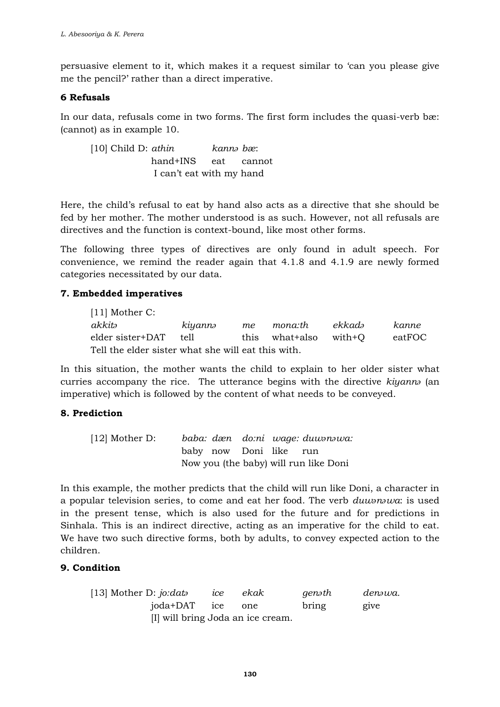persuasive element to it, which makes it a request similar to 'can you please give me the pencil?' rather than a direct imperative.

#### **6 Refusals**

In our data, refusals come in two forms. The first form includes the quasi-verb bæ: (cannot) as in example 10.

[10] Child D: *athin kannə bæ*: hand+INS eat cannot I can't eat with my hand

Here, the child's refusal to eat by hand also acts as a directive that she should be fed by her mother. The mother understood is as such. However, not all refusals are directives and the function is context-bound, like most other forms.

The following three types of directives are only found in adult speech. For convenience, we remind the reader again that 4.1.8 and 4.1.9 are newly formed categories necessitated by our data.

### **7. Embedded imperatives**

[11] Mother C: *akkitə kiyannə me mona:th ekkadə kanne* elder sister+DAT tell this what+also with+Q eatFOC Tell the elder sister what she will eat this with.

In this situation, the mother wants the child to explain to her older sister what curries accompany the rice. The utterance begins with the directive *kiyannə* (an imperative) which is followed by the content of what needs to be conveyed.

### **8. Prediction**

| $[12]$ Mother D: |  |                        | baba: dæn do:ni wage: duwonowa:       |
|------------------|--|------------------------|---------------------------------------|
|                  |  | baby now Doni like run |                                       |
|                  |  |                        | Now you (the baby) will run like Doni |

In this example, the mother predicts that the child will run like Doni, a character in a popular television series, to come and eat her food. The verb *duwənəwa*: is used in the present tense, which is also used for the future and for predictions in Sinhala. This is an indirect directive, acting as an imperative for the child to eat. We have two such directive forms, both by adults, to convey expected action to the children.

### **9. Condition**

| [13] Mother D: $j\ddot{o}$ : data | ıce | ekak | genəth | denəwa. |
|-----------------------------------|-----|------|--------|---------|
| joda+DAT ice one                  |     |      | bring  | give    |
| [I] will bring Joda an ice cream. |     |      |        |         |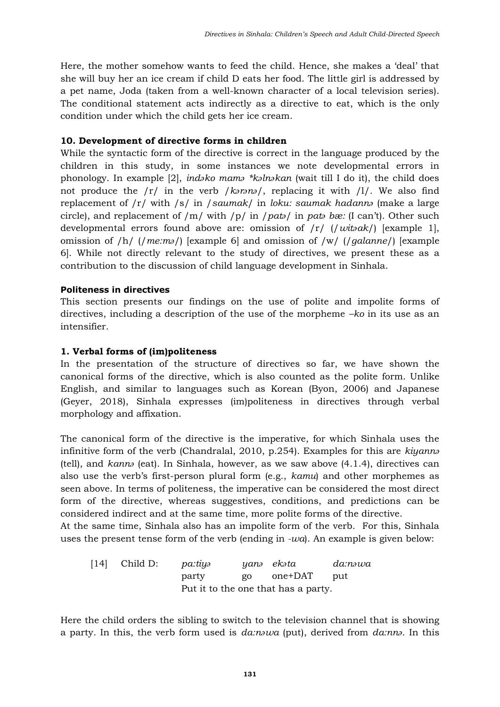Here, the mother somehow wants to feed the child. Hence, she makes a 'deal' that she will buy her an ice cream if child D eats her food. The little girl is addressed by a pet name, Joda (taken from a well-known character of a local television series). The conditional statement acts indirectly as a directive to eat, which is the only condition under which the child gets her ice cream.

#### **10. Development of directive forms in children**

While the syntactic form of the directive is correct in the language produced by the children in this study, in some instances we note developmental errors in phonology. In example [2], *indəko mamə \*kəlnəkan* (wait till I do it), the child does not produce the /r/ in the verb /*kərənə*/, replacing it with /l/. We also find replacement of /r/ with /s/ in /*saumak*/ in *loku: saumak hadannə* (make a large circle), and replacement of /m/ with /p/ in /*patə*/ in *patə bæ:* (I can't). Other such developmental errors found above are: omission of /r/ (/*witəak*/) [example 1], omission of /h/ (/*me:mə*/) [example 6] and omission of /w/ (/*galanne*/) [example 6]. While not directly relevant to the study of directives, we present these as a contribution to the discussion of child language development in Sinhala.

### **Politeness in directives**

This section presents our findings on the use of polite and impolite forms of directives, including a description of the use of the morpheme *–ko* in its use as an intensifier.

#### **1. Verbal forms of (im)politeness**

In the presentation of the structure of directives so far, we have shown the canonical forms of the directive, which is also counted as the polite form. Unlike English, and similar to languages such as Korean (Byon, 2006) and Japanese (Geyer, 2018), Sinhala expresses (im)politeness in directives through verbal morphology and affixation.

The canonical form of the directive is the imperative, for which Sinhala uses the infinitive form of the verb (Chandralal, 2010, p.254). Examples for this are *kiyannə* (tell), and *kannə* (eat). In Sinhala, however, as we saw above (4.1.4), directives can also use the verb's first-person plural form (e.g., *kamu*) and other morphemes as seen above. In terms of politeness, the imperative can be considered the most direct form of the directive, whereas suggestives, conditions, and predictions can be considered indirect and at the same time, more polite forms of the directive. At the same time, Sinhala also has an impolite form of the verb. For this, Sinhala

uses the present tense form of the verb (ending in *-wa*). An example is given below:

| $[14]$ Child D: | pa:tiyə |    | yanə ekəta                          | da:nəwa |
|-----------------|---------|----|-------------------------------------|---------|
|                 | party   | go | one+DAT                             | put     |
|                 |         |    | Put it to the one that has a party. |         |

Here the child orders the sibling to switch to the television channel that is showing a party. In this, the verb form used is *da:nəwa* (put), derived from *da:nnə*. In this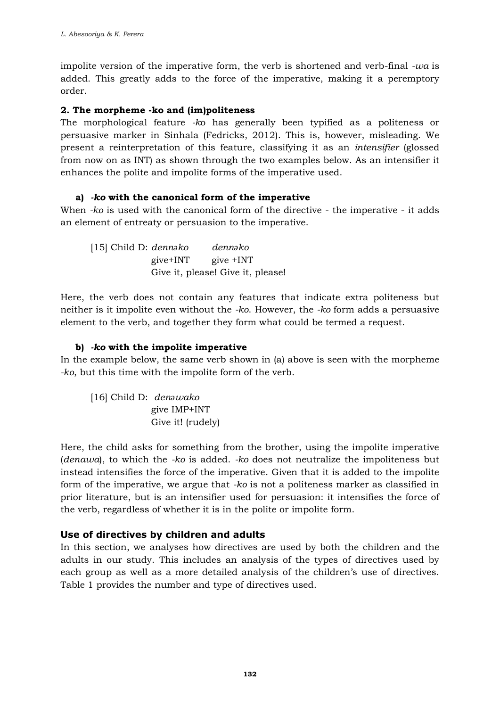impolite version of the imperative form, the verb is shortened and verb-final *-wa* is added. This greatly adds to the force of the imperative, making it a peremptory order.

#### **2. The morpheme -ko and (im)politeness**

The morphological feature *-k*o has generally been typified as a politeness or persuasive marker in Sinhala (Fedricks, 2012). This is, however, misleading. We present a reinterpretation of this feature, classifying it as an *intensifier* (glossed from now on as INT) as shown through the two examples below. As an intensifier it enhances the polite and impolite forms of the imperative used.

### **a)** *-ko* **with the canonical form of the imperative**

When *-ko* is used with the canonical form of the directive - the imperative - it adds an element of entreaty or persuasion to the imperative.

[15] Child D: *dennǝko dennǝko* give+INT give +INT Give it, please! Give it, please!

Here, the verb does not contain any features that indicate extra politeness but neither is it impolite even without the *-ko*. However, the *-ko* form adds a persuasive element to the verb, and together they form what could be termed a request.

### **b)** *-ko* **with the impolite imperative**

In the example below, the same verb shown in (a) above is seen with the morpheme *-ko*, but this time with the impolite form of the verb.

[16] Child D: *denǝwako* give IMP+INT Give it! (rudely)

Here, the child asks for something from the brother, using the impolite imperative (*denawa*), to which the *-ko* is added. *-ko* does not neutralize the impoliteness but instead intensifies the force of the imperative. Given that it is added to the impolite form of the imperative, we argue that *-ko* is not a politeness marker as classified in prior literature, but is an intensifier used for persuasion: it intensifies the force of the verb, regardless of whether it is in the polite or impolite form.

### **Use of directives by children and adults**

In this section, we analyses how directives are used by both the children and the adults in our study. This includes an analysis of the types of directives used by each group as well as a more detailed analysis of the children's use of directives. Table 1 provides the number and type of directives used.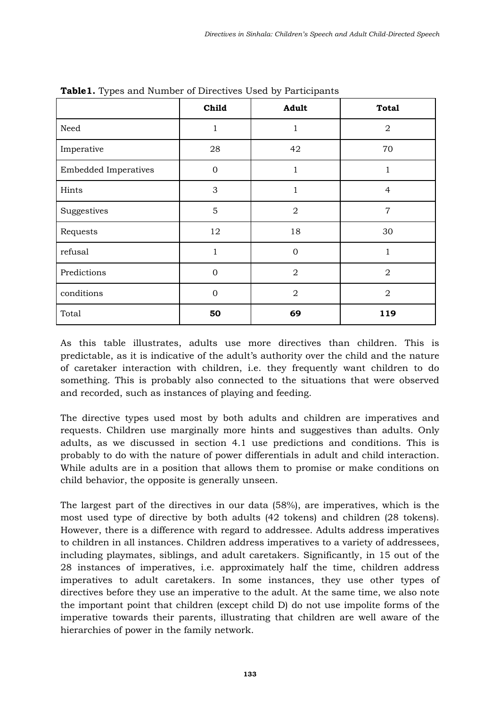|                             | Child          | Adult          | <b>Total</b>   |
|-----------------------------|----------------|----------------|----------------|
| Need                        | $\mathbf 1$    | 1              | $\sqrt{2}$     |
| Imperative                  | 28             | 42             | 70             |
| <b>Embedded Imperatives</b> | $\overline{0}$ | 1              | $\mathbf{1}$   |
| Hints                       | 3              | 1              | $\overline{4}$ |
| Suggestives                 | 5              | $\overline{2}$ | $\overline{7}$ |
| Requests                    | 12             | 18             | 30             |
| refusal                     | 1              | $\mathbf{0}$   | 1              |
| Predictions                 | $\overline{0}$ | $\overline{2}$ | $\overline{2}$ |
| conditions                  | $\mathbf{0}$   | $\overline{2}$ | $\overline{2}$ |
| Total                       | 50             | 69             | 119            |

**Table1.** Types and Number of Directives Used by Participants

As this table illustrates, adults use more directives than children. This is predictable, as it is indicative of the adult's authority over the child and the nature of caretaker interaction with children, i.e. they frequently want children to do something. This is probably also connected to the situations that were observed and recorded, such as instances of playing and feeding.

The directive types used most by both adults and children are imperatives and requests. Children use marginally more hints and suggestives than adults. Only adults, as we discussed in section 4.1 use predictions and conditions. This is probably to do with the nature of power differentials in adult and child interaction. While adults are in a position that allows them to promise or make conditions on child behavior, the opposite is generally unseen.

The largest part of the directives in our data (58%), are imperatives, which is the most used type of directive by both adults (42 tokens) and children (28 tokens). However, there is a difference with regard to addressee. Adults address imperatives to children in all instances. Children address imperatives to a variety of addressees, including playmates, siblings, and adult caretakers. Significantly, in 15 out of the 28 instances of imperatives, i.e. approximately half the time, children address imperatives to adult caretakers. In some instances, they use other types of directives before they use an imperative to the adult. At the same time, we also note the important point that children (except child D) do not use impolite forms of the imperative towards their parents, illustrating that children are well aware of the hierarchies of power in the family network.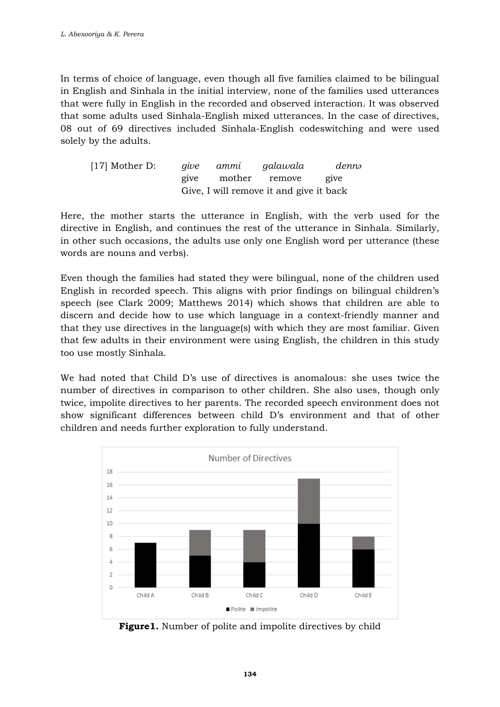In terms of choice of language, even though all five families claimed to be bilingual in English and Sinhala in the initial interview, none of the families used utterances that were fully in English in the recorded and observed interaction. It was observed that some adults used Sinhala-English mixed utterances. In the case of directives, 08 out of 69 directives included Sinhala-English codeswitching and were used solely by the adults.

| $[17]$ Mother D: |  | give ammi galawala                      | dennə              |
|------------------|--|-----------------------------------------|--------------------|
|                  |  | give mother remove                      | $e$ <sub>1Ve</sub> |
|                  |  | Give, I will remove it and give it back |                    |

Here, the mother starts the utterance in English, with the verb used for the directive in English, and continues the rest of the utterance in Sinhala. Similarly, in other such occasions, the adults use only one English word per utterance (these words are nouns and verbs).

Even though the families had stated they were bilingual, none of the children used English in recorded speech. This aligns with prior findings on bilingual children's speech (see Clark 2009; Matthews 2014) which shows that children are able to discern and decide how to use which language in a context-friendly manner and that they use directives in the language(s) with which they are most familiar. Given that few adults in their environment were using English, the children in this study too use mostly Sinhala.

We had noted that Child D's use of directives is anomalous: she uses twice the number of directives in comparison to other children. She also uses, though only twice, impolite directives to her parents. The recorded speech environment does not show significant differences between child D's environment and that of other children and needs further exploration to fully understand.



**Figure1.** Number of polite and impolite directives by child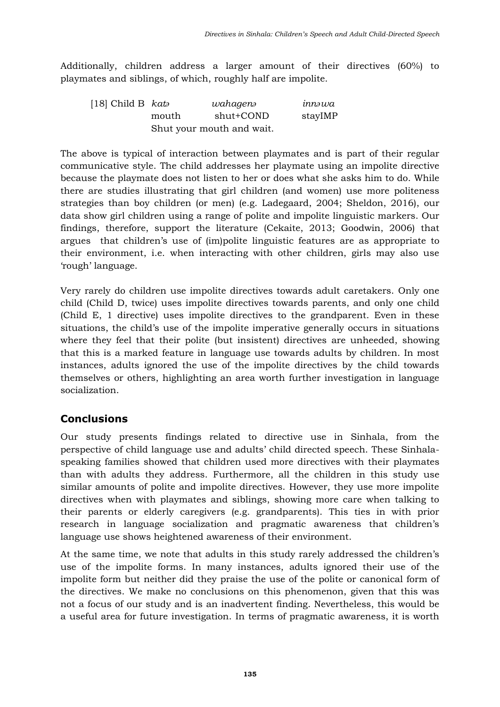Additionally, children address a larger amount of their directives (60%) to playmates and siblings, of which, roughly half are impolite.

| [18] Child B $kato$ |       | wahagenə                  | innəwa  |
|---------------------|-------|---------------------------|---------|
|                     | mouth | shut+COND                 | stayIMP |
|                     |       | Shut your mouth and wait. |         |

The above is typical of interaction between playmates and is part of their regular communicative style. The child addresses her playmate using an impolite directive because the playmate does not listen to her or does what she asks him to do. While there are studies illustrating that girl children (and women) use more politeness strategies than boy children (or men) (e.g. Ladegaard, 2004; Sheldon, 2016), our data show girl children using a range of polite and impolite linguistic markers. Our findings, therefore, support the literature (Cekaite, 2013; Goodwin, 2006) that argues that children's use of (im)polite linguistic features are as appropriate to their environment, i.e. when interacting with other children, girls may also use 'rough' language.

Very rarely do children use impolite directives towards adult caretakers. Only one child (Child D, twice) uses impolite directives towards parents, and only one child (Child E, 1 directive) uses impolite directives to the grandparent. Even in these situations, the child's use of the impolite imperative generally occurs in situations where they feel that their polite (but insistent) directives are unheeded, showing that this is a marked feature in language use towards adults by children. In most instances, adults ignored the use of the impolite directives by the child towards themselves or others, highlighting an area worth further investigation in language socialization.

# **Conclusions**

Our study presents findings related to directive use in Sinhala, from the perspective of child language use and adults' child directed speech. These Sinhalaspeaking families showed that children used more directives with their playmates than with adults they address. Furthermore, all the children in this study use similar amounts of polite and impolite directives. However, they use more impolite directives when with playmates and siblings, showing more care when talking to their parents or elderly caregivers (e.g. grandparents). This ties in with prior research in language socialization and pragmatic awareness that children's language use shows heightened awareness of their environment.

At the same time, we note that adults in this study rarely addressed the children's use of the impolite forms. In many instances, adults ignored their use of the impolite form but neither did they praise the use of the polite or canonical form of the directives. We make no conclusions on this phenomenon, given that this was not a focus of our study and is an inadvertent finding. Nevertheless, this would be a useful area for future investigation. In terms of pragmatic awareness, it is worth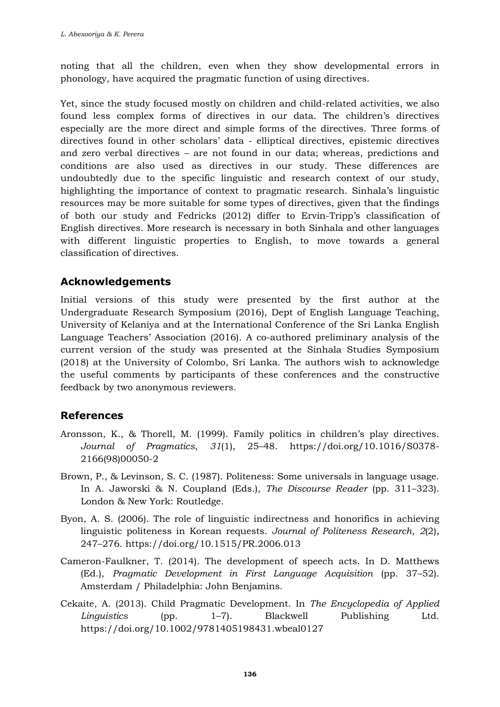noting that all the children, even when they show developmental errors in phonology, have acquired the pragmatic function of using directives.

Yet, since the study focused mostly on children and child-related activities, we also found less complex forms of directives in our data. The children's directives especially are the more direct and simple forms of the directives. Three forms of directives found in other scholars' data - elliptical directives, epistemic directives and zero verbal directives – are not found in our data; whereas, predictions and conditions are also used as directives in our study. These differences are undoubtedly due to the specific linguistic and research context of our study, highlighting the importance of context to pragmatic research. Sinhala's linguistic resources may be more suitable for some types of directives, given that the findings of both our study and Fedricks (2012) differ to Ervin-Tripp's classification of English directives. More research is necessary in both Sinhala and other languages with different linguistic properties to English, to move towards a general classification of directives.

### **Acknowledgements**

Initial versions of this study were presented by the first author at the Undergraduate Research Symposium (2016), Dept of English Language Teaching, University of Kelaniya and at the International Conference of the Sri Lanka English Language Teachers' Association (2016). A co-authored preliminary analysis of the current version of the study was presented at the Sinhala Studies Symposium (2018) at the University of Colombo, Sri Lanka. The authors wish to acknowledge the useful comments by participants of these conferences and the constructive feedback by two anonymous reviewers.

# **References**

- Aronsson, K., & Thorell, M. (1999). Family politics in children's play directives. *Journal of Pragmatics*, *31*(1), 25–48. https://doi.org/10.1016/S0378- 2166(98)00050-2
- Brown, P., & Levinson, S. C. (1987). Politeness: Some universals in language usage. In A. Jaworski & N. Coupland (Eds.), *The Discourse Reader* (pp. 311–323). London & New York: Routledge.
- Byon, A. S. (2006). The role of linguistic indirectness and honorifics in achieving linguistic politeness in Korean requests. *Journal of Politeness Research*, *2*(2), 247–276. https://doi.org/10.1515/PR.2006.013
- Cameron-Faulkner, T. (2014). The development of speech acts. In D. Matthews (Ed.), *Pragmatic Development in First Language Acquisition* (pp. 37–52). Amsterdam / Philadelphia: John Benjamins.
- Cekaite, A. (2013). Child Pragmatic Development. In *The Encyclopedia of Applied Linguistics* (pp. 1–7). Blackwell Publishing Ltd. https://doi.org/10.1002/9781405198431.wbeal0127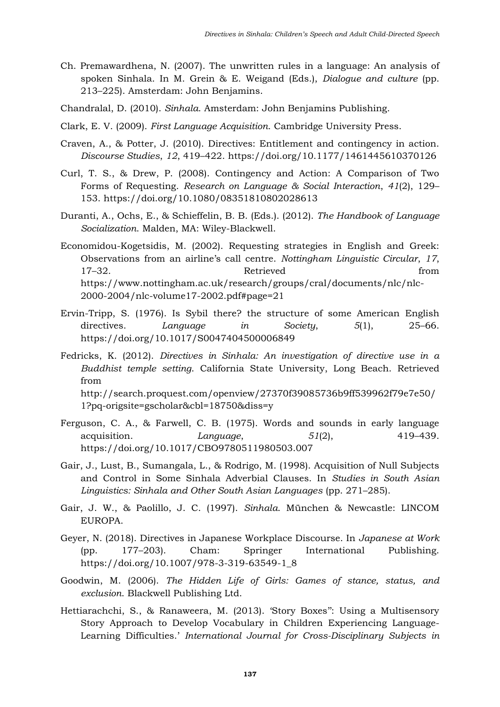- Ch. Premawardhena, N. (2007). The unwritten rules in a language: An analysis of spoken Sinhala. In M. Grein & E. Weigand (Eds.), *Dialogue and culture* (pp. 213–225). Amsterdam: John Benjamins.
- Chandralal, D. (2010). *Sinhala*. Amsterdam: John Benjamins Publishing.
- Clark, E. V. (2009). *First Language Acquisition*. Cambridge University Press.
- Craven, A., & Potter, J. (2010). Directives: Entitlement and contingency in action. *Discourse Studies*, *12*, 419–422. https://doi.org/10.1177/1461445610370126
- Curl, T. S., & Drew, P. (2008). Contingency and Action: A Comparison of Two Forms of Requesting. *Research on Language & Social Interaction*, *41*(2), 129– 153. https://doi.org/10.1080/08351810802028613
- Duranti, A., Ochs, E., & Schieffelin, B. B. (Eds.). (2012). *The Handbook of Language Socialization*. Malden, MA: Wiley-Blackwell.
- Economidou-Kogetsidis, M. (2002). Requesting strategies in English and Greek: Observations from an airline's call centre. *Nottingham Linguistic Circular*, *17*, 17–32. From Retrieved from https://www.nottingham.ac.uk/research/groups/cral/documents/nlc/nlc-2000-2004/nlc-volume17-2002.pdf#page=21
- Ervin-Tripp, S. (1976). Is Sybil there? the structure of some American English directives. *Language in Society*, *5*(1), 25–66. https://doi.org/10.1017/S0047404500006849
- Fedricks, K. (2012). *Directives in Sinhala: An investigation of directive use in a Buddhist temple setting*. California State University, Long Beach. Retrieved from http://search.proquest.com/openview/27370f39085736b9ff539962f79e7e50/ 1?pq-origsite=gscholar&cbl=18750&diss=y
- Ferguson, C. A., & Farwell, C. B. (1975). Words and sounds in early language acquisition. *Language*, *51*(2), 419–439. https://doi.org/10.1017/CBO9780511980503.007
- Gair, J., Lust, B., Sumangala, L., & Rodrigo, M. (1998). Acquisition of Null Subjects and Control in Some Sinhala Adverbial Clauses. In *Studies in South Asian Linguistics: Sinhala and Other South Asian Languages* (pp. 271–285).
- Gair, J. W., & Paolillo, J. C. (1997). *Sinhala*. München & Newcastle: LINCOM EUROPA.
- Geyer, N. (2018). Directives in Japanese Workplace Discourse. In *Japanese at Work* (pp. 177–203). Cham: Springer International Publishing. https://doi.org/10.1007/978-3-319-63549-1\_8
- Goodwin, M. (2006). *The Hidden Life of Girls: Games of stance, status, and exclusion*. Blackwell Publishing Ltd.
- Hettiarachchi, S., & Ranaweera, M. (2013). 'Story Boxes'': Using a Multisensory Story Approach to Develop Vocabulary in Children Experiencing Language-Learning Difficulties.' *International Journal for Cross-Disciplinary Subjects in*